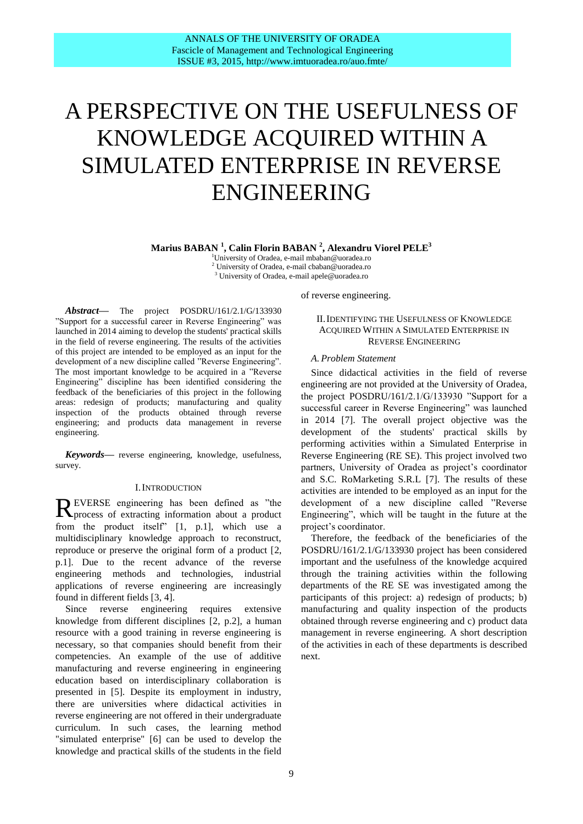# A PERSPECTIVE ON THE USEFULNESS OF KNOWLEDGE ACQUIRED WITHIN A SIMULATED ENTERPRISE IN REVERSE ENGINEERING

**Marius BABAN <sup>1</sup> , Calin Florin BABAN <sup>2</sup> , Alexandru Viorel PELE<sup>3</sup>**

<sup>1</sup>University of Oradea, e-mail mbaban@uoradea.ro <sup>2</sup> University of Oradea, e-mail cbaban@uoradea.ro <sup>3</sup> University of Oradea, e-mail [apele@uoradea.ro](mailto:apele@uoradea.ro)

*Abstract***—** The project POSDRU/161/2.1/G/133930 "Support for a successful career in Reverse Engineering" was launched in 2014 aiming to develop the students' practical skills in the field of reverse engineering. The results of the activities of this project are intended to be employed as an input for the development of a new discipline called "Reverse Engineering". The most important knowledge to be acquired in a "Reverse Engineering" discipline has been identified considering the feedback of the beneficiaries of this project in the following areas: redesign of products; manufacturing and quality inspection of the products obtained through reverse engineering; and products data management in reverse engineering.

*Keywords***—** reverse engineering, knowledge, usefulness, survey.

## I.INTRODUCTION

EVERSE engineering has been defined as "the REVERSE engineering has been defined as "the process of extracting information about a product from the product itself" [1, p.1], which use a multidisciplinary knowledge approach to reconstruct, reproduce or preserve the original form of a product [2, p.1]. Due to the recent advance of the reverse engineering methods and technologies, industrial applications of reverse engineering are increasingly found in different fields [3, 4].

Since reverse engineering requires extensive knowledge from different disciplines [2, p.2], a human resource with a good training in reverse engineering is necessary, so that companies should benefit from their competencies. An example of the use of additive manufacturing and reverse engineering in engineering education based on interdisciplinary collaboration is presented in [5]. Despite its employment in industry, there are universities where didactical activities in reverse engineering are not offered in their undergraduate curriculum. In such cases, the learning method "simulated enterprise" [6] can be used to develop the knowledge and practical skills of the students in the field of reverse engineering.

## II.IDENTIFYING THE USEFULNESS OF KNOWLEDGE ACQUIRED WITHIN A SIMULATED ENTERPRISE IN REVERSE ENGINEERING

## *A. Problem Statement*

Since didactical activities in the field of reverse engineering are not provided at the University of Oradea, the project POSDRU/161/2.1/G/133930 "Support for a successful career in Reverse Engineering" was launched in 2014 [7]. The overall project objective was the development of the students' practical skills by performing activities within a Simulated Enterprise in Reverse Engineering (RE SE). This project involved two partners, University of Oradea as project's coordinator and S.C. RoMarketing S.R.L [7]. The results of these activities are intended to be employed as an input for the development of a new discipline called "Reverse Engineering", which will be taught in the future at the project's coordinator.

Therefore, the feedback of the beneficiaries of the POSDRU/161/2.1/G/133930 project has been considered important and the usefulness of the knowledge acquired through the training activities within the following departments of the RE SE was investigated among the participants of this project: a) redesign of products; b) manufacturing and quality inspection of the products obtained through reverse engineering and c) product data management in reverse engineering. A short description of the activities in each of these departments is described next.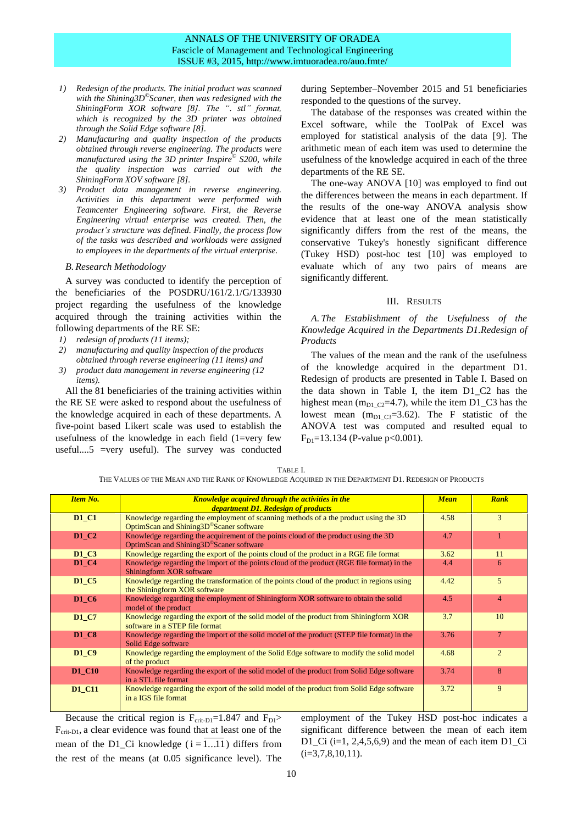## ANNALS OF THE UNIVERSITY OF ORADEA Fascicle of Management and Technological Engineering ISSUE #3, 2015, http://www.imtuoradea.ro/auo.fmte/

- *1) Redesign of the products. The initial product was scanned with the Shining3D© Scaner, then was redesigned with the ShiningForm XOR software [8]. The ". stl" format, which is recognized by the 3D printer was obtained through the Solid Edge software [8].*
- *2) Manufacturing and quality inspection of the products obtained through reverse engineering. The products were manufactured using the 3D printer Inspire© S200, while the quality inspection was carried out with the ShiningForm XOV software [8].*
- *3) Product data management in reverse engineering. Activities in this department were performed with Teamcenter Engineering software. First, the Reverse Engineering virtual enterprise was created. Then, the product's structure was defined. Finally, the process flow of the tasks was described and workloads were assigned to employees in the departments of the virtual enterprise.*

#### *B. Research Methodology*

A survey was conducted to identify the perception of the beneficiaries of the POSDRU/161/2.1/G/133930 project regarding the usefulness of the knowledge acquired through the training activities within the following departments of the RE SE:

- *1) redesign of products (11 items);*
- *2) manufacturing and quality inspection of the products obtained through reverse engineering (11 items) and*
- *3) product data management in reverse engineering (12 items).*

All the 81 beneficiaries of the training activities within the RE SE were asked to respond about the usefulness of the knowledge acquired in each of these departments. A five-point based Likert scale was used to establish the usefulness of the knowledge in each field  $(1=very few$ useful....5 =very useful). The survey was conducted during September–November 2015 and 51 beneficiaries responded to the questions of the survey.

The database of the responses was created within the Excel software, while the ToolPak of Excel was employed for statistical analysis of the data [9]. The arithmetic mean of each item was used to determine the usefulness of the knowledge acquired in each of the three departments of the RE SE.

The one-way ANOVA [10] was employed to find out the differences between the means in each department. If the results of the one-way ANOVA analysis show evidence that at least one of the mean statistically significantly differs from the rest of the means, the conservative Tukey's honestly significant difference (Tukey HSD) post-hoc test [10] was employed to evaluate which of any two pairs of means are significantly different.

#### III. RESULTS

*A. The Establishment of the Usefulness of the Knowledge Acquired in the Departments D1.Redesign of Products*

The values of the mean and the rank of the usefulness of the knowledge acquired in the department D1. Redesign of products are presented in Table I. Based on the data shown in Table I, the item D1\_C2 has the highest mean  $(m_{D1_C2}=4.7)$ , while the item D1\_C3 has the lowest mean  $(m_{D1,C3}=3.62)$ . The F statistic of the ANOVA test was computed and resulted equal to  $F<sub>D1</sub>=13.134$  (P-value p<0.001).

| <b>Item No.</b> | <b>Knowledge acquired through the activities in the</b>                                                                                      | <b>Mean</b> | Rank |
|-----------------|----------------------------------------------------------------------------------------------------------------------------------------------|-------------|------|
|                 | department D1. Redesign of products                                                                                                          |             |      |
| <b>D1 C1</b>    | Knowledge regarding the employment of scanning methods of a the product using the 3D<br>OptimScan and Shining3D <sup>°</sup> Scaner software | 4.58        |      |
| <b>D1 C2</b>    | Knowledge regarding the acquirement of the points cloud of the product using the 3D<br>OptimScan and Shining3D <sup>®</sup> Scaner software  | 4.7         |      |
| <b>D1 C3</b>    | Knowledge regarding the export of the points cloud of the product in a RGE file format                                                       | 3.62        |      |
| D1 C4           | Knowledge regarding the import of the points cloud of the product (RGE file format) in the<br>$\alpha$ $\alpha$ $\alpha$ $\alpha$            | 4.4         |      |

TABLE I. THE VALUES OF THE MEAN AND THE RANK OF KNOWLEDGE ACQUIRED IN THE DEPARTMENT D1. REDESIGN OF PRODUCTS

|               | $\sigma$ build and building bound software                                                                                                  |      |                             |
|---------------|---------------------------------------------------------------------------------------------------------------------------------------------|------|-----------------------------|
| D1 C2         | Knowledge regarding the acquirement of the points cloud of the product using the 3D<br>OptimScan and Shining3D <sup>®</sup> Scaner software | 4.7  |                             |
| D1 C3         | Knowledge regarding the export of the points cloud of the product in a RGE file format                                                      | 3.62 | 11                          |
| D1 C4         | Knowledge regarding the import of the points cloud of the product (RGE file format) in the<br>Shiningform XOR software                      | 4.4  | 6                           |
| <b>D1_C5</b>  | Knowledge regarding the transformation of the points cloud of the product in regions using<br>the Shiningform XOR software                  | 4.42 | 5                           |
| D1 C6         | Knowledge regarding the employment of Shiningform XOR software to obtain the solid<br>model of the product                                  | 4.5  | 4                           |
| D1 C7         | Knowledge regarding the export of the solid model of the product from Shiningform XOR<br>software in a STEP file format                     | 3.7  | 10                          |
| D1 C8         | Knowledge regarding the import of the solid model of the product (STEP file format) in the<br>Solid Edge software                           | 3.76 |                             |
| D1 C9         | Knowledge regarding the employment of the Solid Edge software to modify the solid model<br>of the product                                   | 4.68 | $\mathcal{D}_{\mathcal{L}}$ |
| <b>D1 C10</b> | Knowledge regarding the export of the solid model of the product from Solid Edge software<br>in a STL file format                           | 3.74 | 8                           |

**D1\_C11** Knowledge regarding the export of the solid model of the product from Solid Edge software

Because the critical region is  $F_{\text{crit-D1}}=1.847$  and  $F_{\text{D1}}$  $F_{\text{crit-D1}}$ , a clear evidence was found that at least one of the mean of the D1\_Ci knowledge  $(i = 1...11)$  differs from the rest of the means (at 0.05 significance level). The

in a IGS file format

employment of the Tukey HSD post-hoc indicates a significant difference between the mean of each item D1\_Ci  $(i=1, 2, 4, 5, 6, 9)$  and the mean of each item D1\_Ci  $(i=3,7,8,10,11).$ 

 $3.72$  9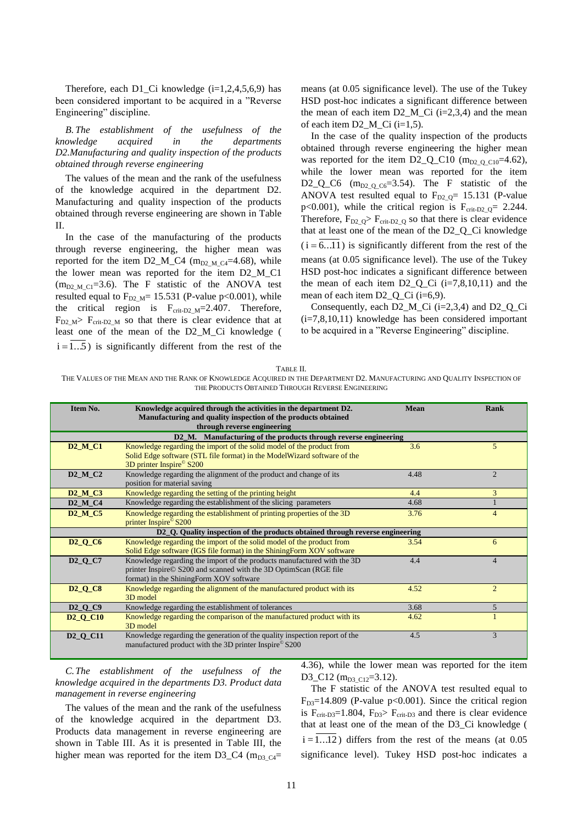Therefore, each D1\_Ci knowledge  $(i=1,2,4,5,6,9)$  has been considered important to be acquired in a "Reverse Engineering" discipline.

*B. The establishment of the usefulness of the knowledge acquired in the departments D2.Manufacturing and quality inspection of the products obtained through reverse engineering*

The values of the mean and the rank of the usefulness of the knowledge acquired in the department D2. Manufacturing and quality inspection of the products obtained through reverse engineering are shown in Table II.

In the case of the manufacturing of the products through reverse engineering, the higher mean was reported for the item D2\_M\_C4 ( $m_{D2_M_C4}=4.68$ ), while the lower mean was reported for the item D2\_M\_C1  $(m_{D2~M~C1}=3.6)$ . The F statistic of the ANOVA test resulted equal to  $F_{D2M}$  = 15.531 (P-value p<0.001), while the critical region is  $F_{\text{crit-D2 M}}=2.407$ . Therefore,  $F_{D2|M}$  F<sub>crit-D2</sub><sub>M</sub> so that there is clear evidence that at least one of the mean of the D2\_M\_Ci knowledge (  $i = 1...5$ ) is significantly different from the rest of the means (at 0.05 significance level). The use of the Tukey HSD post-hoc indicates a significant difference between the mean of each item  $D2\_M\_Ci$  (i=2,3,4) and the mean of each item D2\_M\_Ci (i=1,5).

In the case of the quality inspection of the products obtained through reverse engineering the higher mean was reported for the item  $D2_Q_C10$  (m<sub>D2\_Q\_C10</sub>=4.62), while the lower mean was reported for the item D2\_Q\_C6 ( $m_{D2}$  o  $_{C6}=3.54$ ). The F statistic of the ANOVA test resulted equal to  $F_{D2,Q}$ = 15.131 (P-value p<0.001), while the critical region is  $F_{\text{crit-D2}_Q} = 2.244$ . Therefore,  $F_{D2,Q}$   $\geq F_{crit-D2,Q}$  so that there is clear evidence that at least one of the mean of the D2\_Q\_Ci knowledge  $(i = 6...11)$  is significantly different from the rest of the means (at 0.05 significance level). The use of the Tukey HSD post-hoc indicates a significant difference between the mean of each item  $D2_Q$ <sup>Ci</sup> (i=7,8,10,11) and the mean of each item D2\_Q\_Ci (i=6,9).

Consequently, each D2 M Ci ( $i=2,3,4$ ) and D2 Q Ci (i=7,8,10,11) knowledge has been considered important to be acquired in a "Reverse Engineering" discipline.

THE VALUES OF THE MEAN AND THE RANK OF KNOWLEDGE ACQUIRED IN THE DEPARTMENT D2. MANUFACTURING AND QUALITY INSPECTION OF THE PRODUCTS OBTAINED THROUGH REVERSE ENGINEERING

| Item No.                        | Knowledge acquired through the activities in the department D2.               | <b>Mean</b> | <b>Rank</b>    |
|---------------------------------|-------------------------------------------------------------------------------|-------------|----------------|
|                                 | Manufacturing and quality inspection of the products obtained                 |             |                |
|                                 | through reverse engineering                                                   |             |                |
|                                 | D2_M. Manufacturing of the products through reverse engineering               |             |                |
| $D2_M_{Cl}$                     | Knowledge regarding the import of the solid model of the product from         | 3.6         | 5              |
|                                 | Solid Edge software (STL file format) in the ModelWizard software of the      |             |                |
|                                 | 3D printer Inspire <sup>©</sup> S200                                          |             |                |
| $D2_M_C2$                       | Knowledge regarding the alignment of the product and change of its            | 4.48        | $\mathfrak{D}$ |
|                                 | position for material saving                                                  |             |                |
| D <sub>2</sub> M <sub>C</sub> 3 | Knowledge regarding the setting of the printing height                        | 4.4         | $\overline{3}$ |
| $D2_M_C4$                       | Knowledge regarding the establishment of the slicing parameters               | 4.68        |                |
| $D2$ <sub>_M_C5</sub>           | Knowledge regarding the establishment of printing properties of the 3D        | 3.76        | $\overline{4}$ |
|                                 | printer Inspire <sup>®</sup> S200                                             |             |                |
|                                 | D2_Q. Quality inspection of the products obtained through reverse engineering |             |                |
| $D2_O$ $C6$                     | Knowledge regarding the import of the solid model of the product from         | 3.54        | 6              |
|                                 | Solid Edge software (IGS file format) in the ShiningForm XOV software         |             |                |
| $D2_O$ $C7$                     | Knowledge regarding the import of the products manufactured with the 3D       | 4.4         | $\overline{4}$ |
|                                 | printer Inspire© S200 and scanned with the 3D OptimScan (RGE file             |             |                |
|                                 | format) in the ShiningForm XOV software                                       |             |                |
| <b>D2_Q_C8</b>                  | Knowledge regarding the alignment of the manufactured product with its        | 4.52        | $\overline{2}$ |
|                                 | 3D model                                                                      |             |                |
| $D2_OC9$                        | Knowledge regarding the establishment of tolerances                           | 3.68        | $5^{\circ}$    |
| $D2_O$ $C10$                    | Knowledge regarding the comparison of the manufactured product with its       | 4.62        |                |
|                                 | 3D model                                                                      |             |                |
| $D2_O$ C11                      | Knowledge regarding the generation of the quality inspection report of the    | 4.5         | 3              |
|                                 | manufactured product with the 3D printer Inspire <sup>©</sup> S200            |             |                |
|                                 |                                                                               |             |                |

*C.The establishment of the usefulness of the knowledge acquired in the departments D3. Product data management in reverse engineering*

The values of the mean and the rank of the usefulness of the knowledge acquired in the department D3. Products data management in reverse engineering are shown in Table III. As it is presented in Table III, the higher mean was reported for the item D3\_C4 ( $m_{D3,C4}$ =

4.36), while the lower mean was reported for the item D3\_C12 ( $m_{D3}$ <sub>C12</sub>=3.12).

The F statistic of the ANOVA test resulted equal to  $F<sub>D3</sub>=14.809$  (P-value p<0.001). Since the critical region is  $F_{\text{crit-D3}}=1.804$ ,  $F_{\text{D3}} > F_{\text{crit-D3}}$  and there is clear evidence that at least one of the mean of the D3\_Ci knowledge (  $i = 1...12$ ) differs from the rest of the means (at 0.05 significance level). Tukey HSD post-hoc indicates a